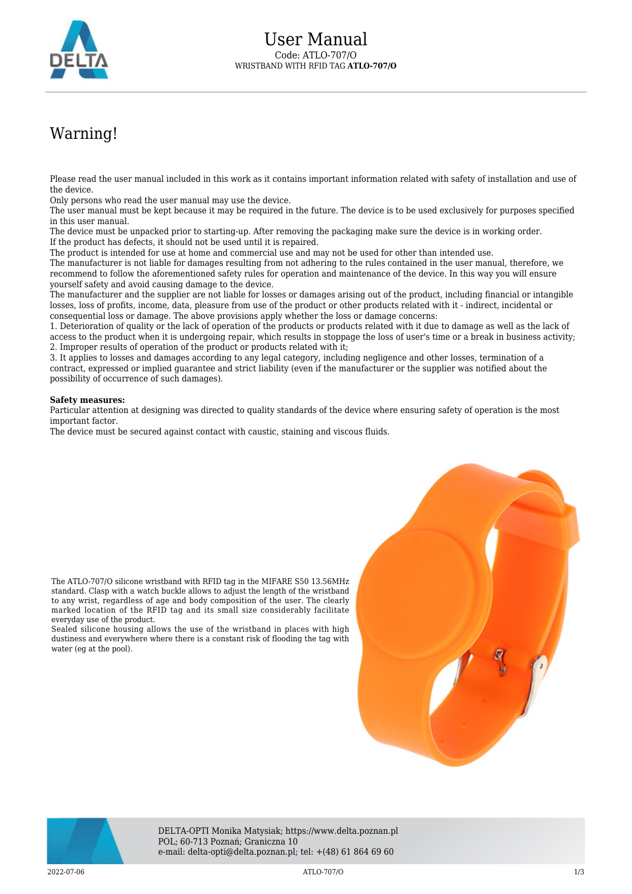

## Warning!

Please read the user manual included in this work as it contains important information related with safety of installation and use of the device.

Only persons who read the user manual may use the device.

The user manual must be kept because it may be required in the future. The device is to be used exclusively for purposes specified in this user manual.

The device must be unpacked prior to starting-up. After removing the packaging make sure the device is in working order. If the product has defects, it should not be used until it is repaired.

The product is intended for use at home and commercial use and may not be used for other than intended use.

The manufacturer is not liable for damages resulting from not adhering to the rules contained in the user manual, therefore, we recommend to follow the aforementioned safety rules for operation and maintenance of the device. In this way you will ensure yourself safety and avoid causing damage to the device.

The manufacturer and the supplier are not liable for losses or damages arising out of the product, including financial or intangible losses, loss of profits, income, data, pleasure from use of the product or other products related with it - indirect, incidental or consequential loss or damage. The above provisions apply whether the loss or damage concerns:

1. Deterioration of quality or the lack of operation of the products or products related with it due to damage as well as the lack of access to the product when it is undergoing repair, which results in stoppage the loss of user's time or a break in business activity; 2. Improper results of operation of the product or products related with it;

3. It applies to losses and damages according to any legal category, including negligence and other losses, termination of a contract, expressed or implied guarantee and strict liability (even if the manufacturer or the supplier was notified about the possibility of occurrence of such damages).

## **Safety measures:**

everyday use of the product.

water (eg at the pool).

Particular attention at designing was directed to quality standards of the device where ensuring safety of operation is the most important factor.

The device must be secured against contact with caustic, staining and viscous fluids.





DELTA-OPTI Monika Matysiak; https://www.delta.poznan.pl POL; 60-713 Poznań; Graniczna 10 e-mail: delta-opti@delta.poznan.pl; tel: +(48) 61 864 69 60

2022-07-06 ATLO-707/O 1/3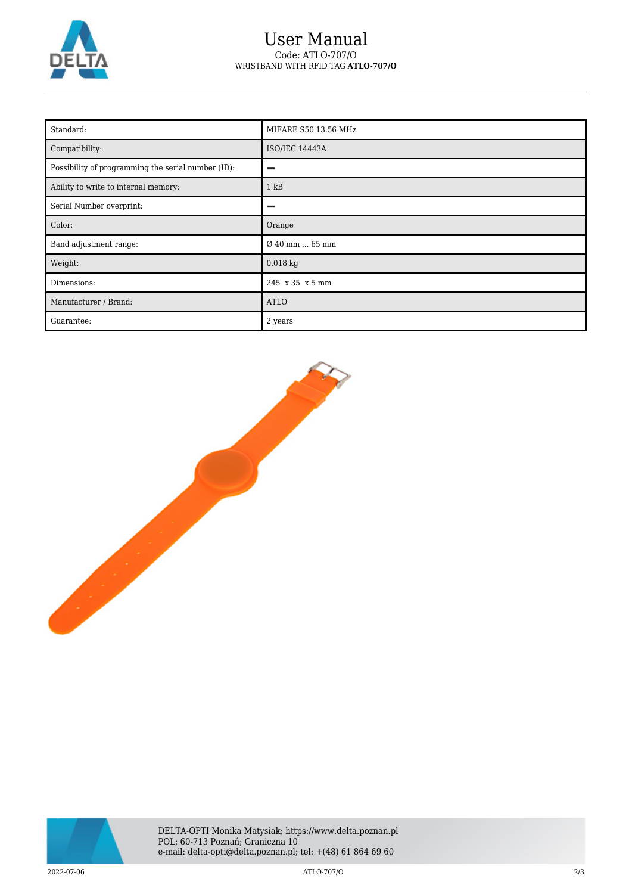

## User Manual Code: ATLO-707/O WRISTBAND WITH RFID TAG **ATLO-707/O**

| Standard:                                          | MIFARE S50 13.56 MHz  |
|----------------------------------------------------|-----------------------|
| Compatibility:                                     | <b>ISO/IEC 14443A</b> |
| Possibility of programming the serial number (ID): | -                     |
| Ability to write to internal memory:               | 1 kB                  |
| Serial Number overprint:                           |                       |
| Color:                                             | Orange                |
| Band adjustment range:                             | Ø 40 mm  65 mm        |
| Weight:                                            | $0.018$ kg            |
| Dimensions:                                        | 245 x 35 x 5 mm       |
| Manufacturer / Brand:                              | <b>ATLO</b>           |
| Guarantee:                                         | 2 years               |





2022-07-06 ATLO-707/O 2/3